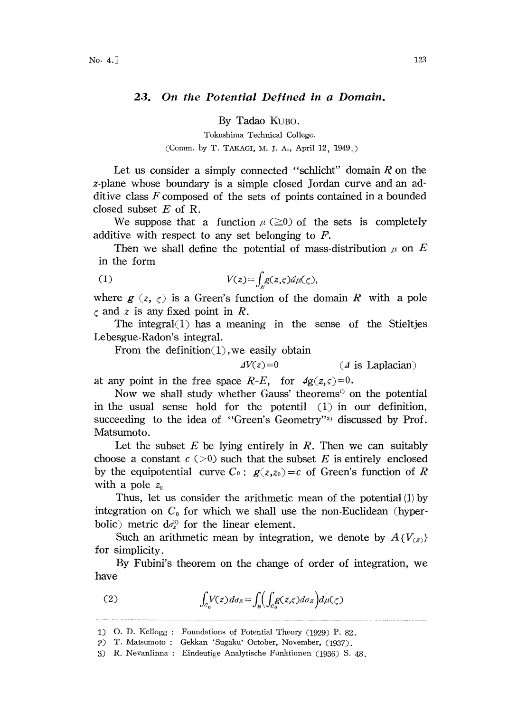## 23. On the Potential Defined in a Domain.

By Tadao KuBo.

Tokushima Technical College. (Comm. by T. TAKAGI, M. J. A., April 12, 1949.)

Let us consider a simply connected "schlicht" domain  $R$  on the z-plane whose boundary is a simple closed Jordan curve and an additive class  $F$  composed of the sets of points contained in a bounded closed subset  $E$  of R.

We suppose that a function  $\mu$  ( $\geq 0$ ) of the sets is completely additive with respect to any set belonging to F.

Then we shall define the potential of mass-distribution  $\mu$  on E in the form

(1) 
$$
V(z) = \int_{R} g(z,\varsigma) d\mu(\zeta),
$$

where  $g(z, \zeta)$  is a Green's function of the domain R with a pole  $\zeta$  and z is any fixed point in R.

The integral $(1)$  has a meaning in the sense of the Stieltjes Lebesgue-Radon's integral.

From the definition $(1)$ , we easily obtain

 $\Delta V(z)=0$  (  $\Delta$  is Laplacian)

at any point in the free space  $R-E$ , for  $\frac{4g(z,\varsigma)=0}{s}$ .

Now we shall study whether Gauss' theorems<sup>13</sup> on the potential in the usual sense hold for the potentil  $(1)$  in our definition, succeeding to the idea of "Green's Geometry"<sup>2)</sup> discussed by Prof. Matsumoto.

Let the subset  $E$  be lying entirely in  $R$ . Then we can suitably choose a constant  $c$  ( $>0$ ) such that the subset E is entirely enclosed by the equipotential curve  $C_0$ :  $g(z, z_0) = c$  of Green's function of R with a pole  $z_0$ 

Thus, let us consider the arithmetic mean of the potential (1) by integration on  $C_0$  for which we shall use the non-Euclidean (hyperbolic) metric  $d\sigma_z^3$  for the linear element.

Such an arithmetic mean by integration, we denote by  $A\{V_{(z)}\}$ for simplicity.

By Fubini's theorem on the change of order of integration, we have

(2) 
$$
\int_{C_0} V(z) d\sigma_z = \int_{B} \left( \int_{C_0} g(z,\zeta) d\sigma_z \right) d\mu(\zeta)
$$

<sup>1)</sup> O. D. Kellogg : Foundations of Potential Theory (1929) P. 82.

<sup>2)</sup> T. Matsumoto : Gekkan 'Sugaku' October, November, (1937).

<sup>3)</sup> R. Nevanlinna : Eindeutige Analytische Funktionen (1936) S. 48.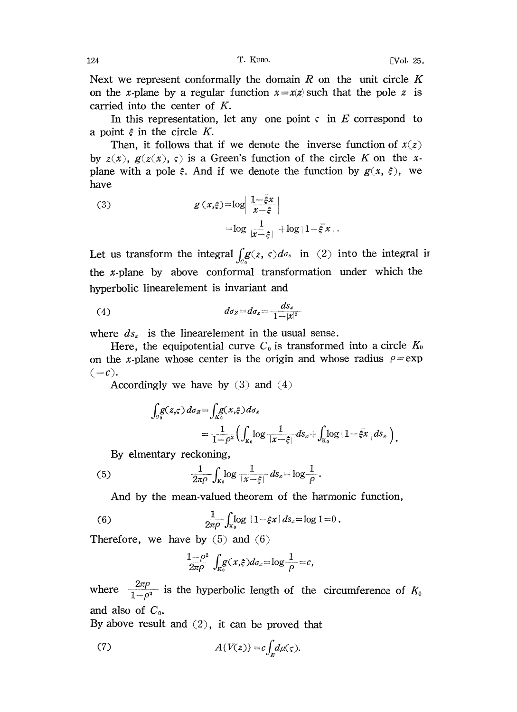Next we represent conformally the domain  $R$  on the unit circle  $K$ on the x-plane by a regular function  $x=x(z)$  such that the pole z is carried into the center of  $K$ .

In this representation, let any one point  $\varsigma$  in E correspond to a point  $\epsilon$  in the circle K.

Then, it follows that if we denote the inverse function of  $x(z)$ by  $z(x)$ ,  $g(z(x), \varsigma)$  is a Green's function of the circle K on the xplane with a pole  $\xi$ . And if we denote the function by  $g(x, \xi)$ , we have

(3) 
$$
g(x,\xi) = \log \left| \frac{1-\xi x}{x-\xi} \right|
$$

$$
= \log \frac{1}{|x-\xi|} + \log |1-\xi x|
$$

Let us transform the integral  $\int_{c} g(z, \zeta) d\sigma_{z}$  in (2) into the integral in the x-plane by above conformal transformation under which the hyperbolic linearelement is invariant and

$$
(4) \t\t d\sigma_z = d\sigma_x = -\frac{ds_x}{1-|x|^2}
$$

where  $ds_x$  is the linearelement in the usual sense.

Here, the equipotential curve  $C_0$  is transformed into a circle  $K_0$ on the x-plane whose center is the origin and whose radius  $\rho = \exp$  $(-c).$ 

Accordingly we have by  $(3)$  and  $(4)$ 

$$
\int_{C_0} g(z,\zeta) d\sigma_z = \int_{K_0} g(x,\xi) d\sigma_x
$$
  
= 
$$
\frac{1}{1-\rho^2} \Biggl( \int_{K_0} \log \frac{1}{|x-\xi|} ds_x + \int_{K_0} \log |1-\xi x| ds_x \Biggr).
$$

By elmentary reckoning,

(5) 
$$
\frac{1}{2\pi\rho}\int_{\mathbb{R}_0}\log\frac{1}{|x-\xi|}\,ds_x=\log\frac{1}{\rho}.
$$

And by the mean-valued theorem of the harmonic function,

(6) 
$$
\frac{1}{2\pi\rho}\int_{K_0} \log |1-\xi x| \, ds_x = \log 1 = 0.
$$

Therefore, we have by  $(5)$  and  $(6)$ 

$$
\frac{1-\rho^2}{2\pi\rho}\int_{K_0}g(x,\xi)d\sigma_x=\log\frac{1}{\rho}=c,
$$

where  $\frac{2\pi\rho}{1-\rho^2}$  is the hyperbolic length of the circumference of  $K_0$ and also of  $C_0$ .

By above result and  $(2)$ , it can be proved that

(7) 
$$
A\{V(z)\}=c\int_{\mathcal{B}}d\mu(\varsigma).
$$